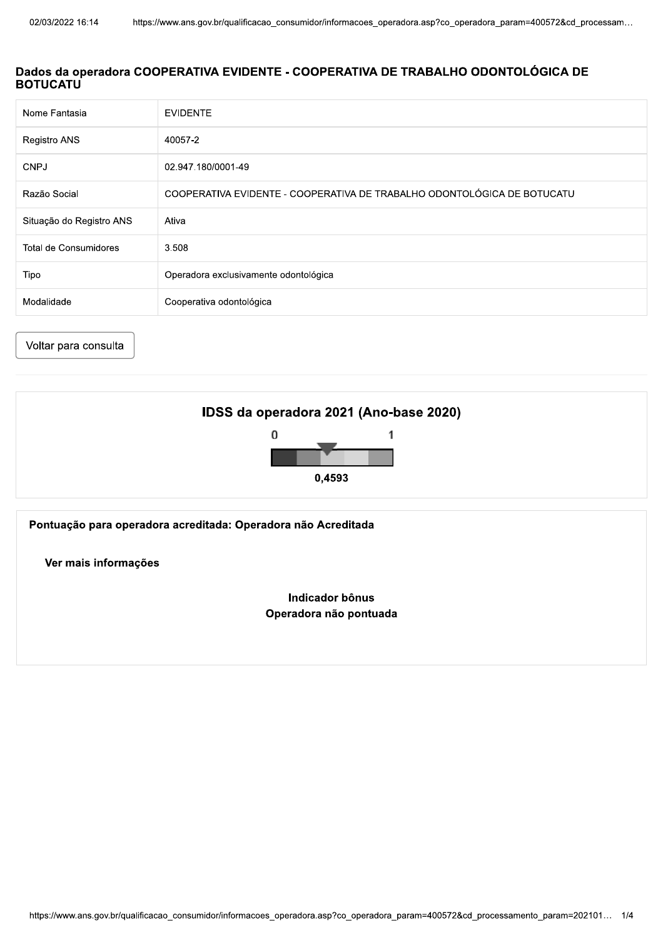## Dados da operadora COOPERATIVA EVIDENTE - COOPERATIVA DE TRABALHO ODONTOLÓGICA DE **BOTUCATU**

| Nome Fantasia            | <b>EVIDENTE</b>                                                         |
|--------------------------|-------------------------------------------------------------------------|
| Registro ANS             | 40057-2                                                                 |
| <b>CNPJ</b>              | 02.947.180/0001-49                                                      |
| Razão Social             | COOPERATIVA EVIDENTE - COOPERATIVA DE TRABALHO ODONTOLÓGICA DE BOTUCATU |
| Situação do Registro ANS | Ativa                                                                   |
| Total de Consumidores    | 3.508                                                                   |
| Tipo                     | Operadora exclusivamente odontológica                                   |
| Modalidade               | Cooperativa odontológica                                                |

Voltar para consulta



Pontuação para operadora acreditada: Operadora não Acreditada

Ver mais informações

Indicador bônus Operadora não pontuada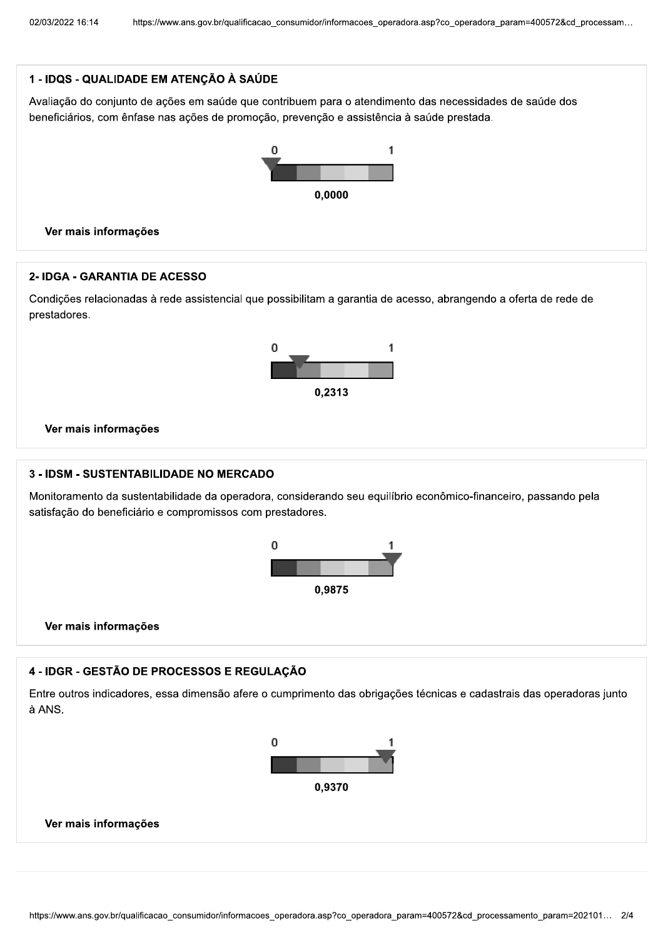# 1 - IDQS - QUALIDADE EM ATENÇÃO À SAÚDE

Avaliação do conjunto de ações em saúde que contribuem para o atendimento das necessidades de saúde dos beneficiários, com ênfase nas ações de promoção, prevenção e assistência à saúde prestada.





### 2- IDGA - GARANTIA DE ACESSO

Condições relacionadas à rede assistencial que possibilitam a garantia de acesso, abrangendo a oferta de rede de prestadores.



Ver mais informações

#### 3 - IDSM - SUSTENTABILIDADE NO MERCADO

Monitoramento da sustentabilidade da operadora, considerando seu equilíbrio econômico-financeiro, passando pela satisfação do beneficiário e compromissos com prestadores.





### 4 - IDGR - GESTÃO DE PROCESSOS E REGULAÇÃO

Entre outros indicadores, essa dimensão afere o cumprimento das obrigações técnicas e cadastrais das operadoras junto à ANS.



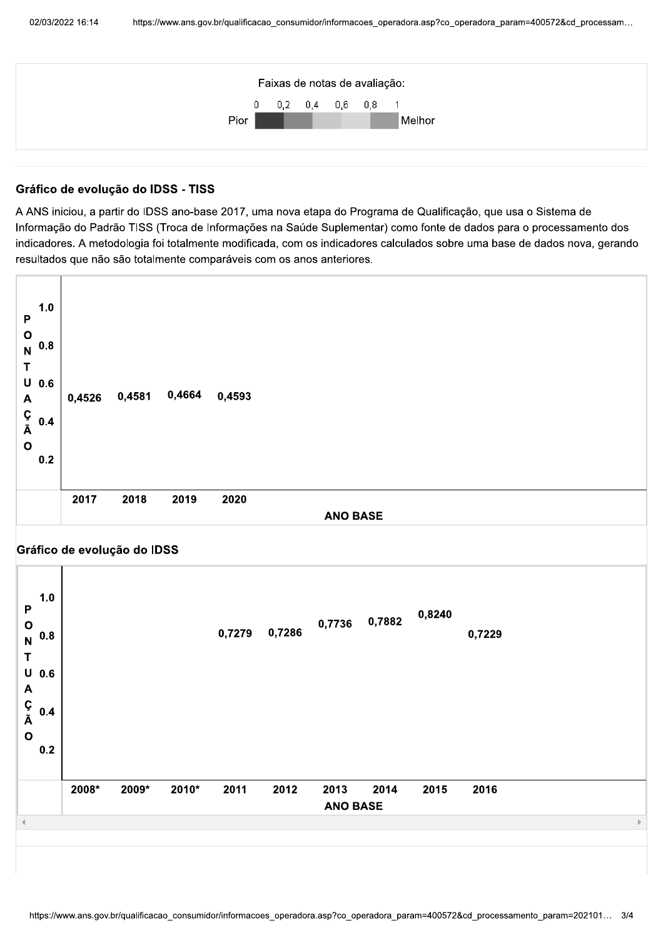

# Gráfico de evolução do IDSS - TISS

A ANS iniciou, a partir do IDSS ano-base 2017, uma nova etapa do Programa de Qualificação, que usa o Sistema de Informação do Padrão TISS (Troca de Informações na Saúde Suplementar) como fonte de dados para o processamento dos indicadores. A metodologia foi totalmente modificada, com os indicadores calculados sobre uma base de dados nova, gerando resultados que não são totalmente comparáveis com os anos anteriores.

| 1.0<br>$\mathsf P$<br>$\begin{smallmatrix}0\N & 0.8\end{smallmatrix}$<br>T<br>$U$ 0.6<br>$\mathbf{A}$<br>Ç<br>Ã<br>0.4<br>$\mathbf{o}$<br>0.2 | 0,4526 | 0,4581 | 0,4664 | 0,4593 |                 |
|-----------------------------------------------------------------------------------------------------------------------------------------------|--------|--------|--------|--------|-----------------|
|                                                                                                                                               | 2017   | 2018   | 2019   | 2020   | <b>ANO BASE</b> |

#### Gráfico de evolução do IDSS

| 1.0<br>$\mathsf{P}$<br>$\mathbf{o}$<br>0.8<br>$\overline{\mathsf{N}}$<br>T<br>$\mathsf U$<br>0.6<br>A<br>Ç<br>Ã<br>0.4<br>$\mathbf{o}$<br>0.2 |       |       |       | 0,7279 | 0,7286 |                         | 0,7736 0,7882 | 0,8240 | 0,7229 |  |
|-----------------------------------------------------------------------------------------------------------------------------------------------|-------|-------|-------|--------|--------|-------------------------|---------------|--------|--------|--|
|                                                                                                                                               | 2008* | 2009* | 2010* | 2011   | 2012   | 2013<br><b>ANO BASE</b> | 2014          | 2015   | 2016   |  |
|                                                                                                                                               |       |       |       |        |        |                         |               |        |        |  |
|                                                                                                                                               |       |       |       |        |        |                         |               |        |        |  |